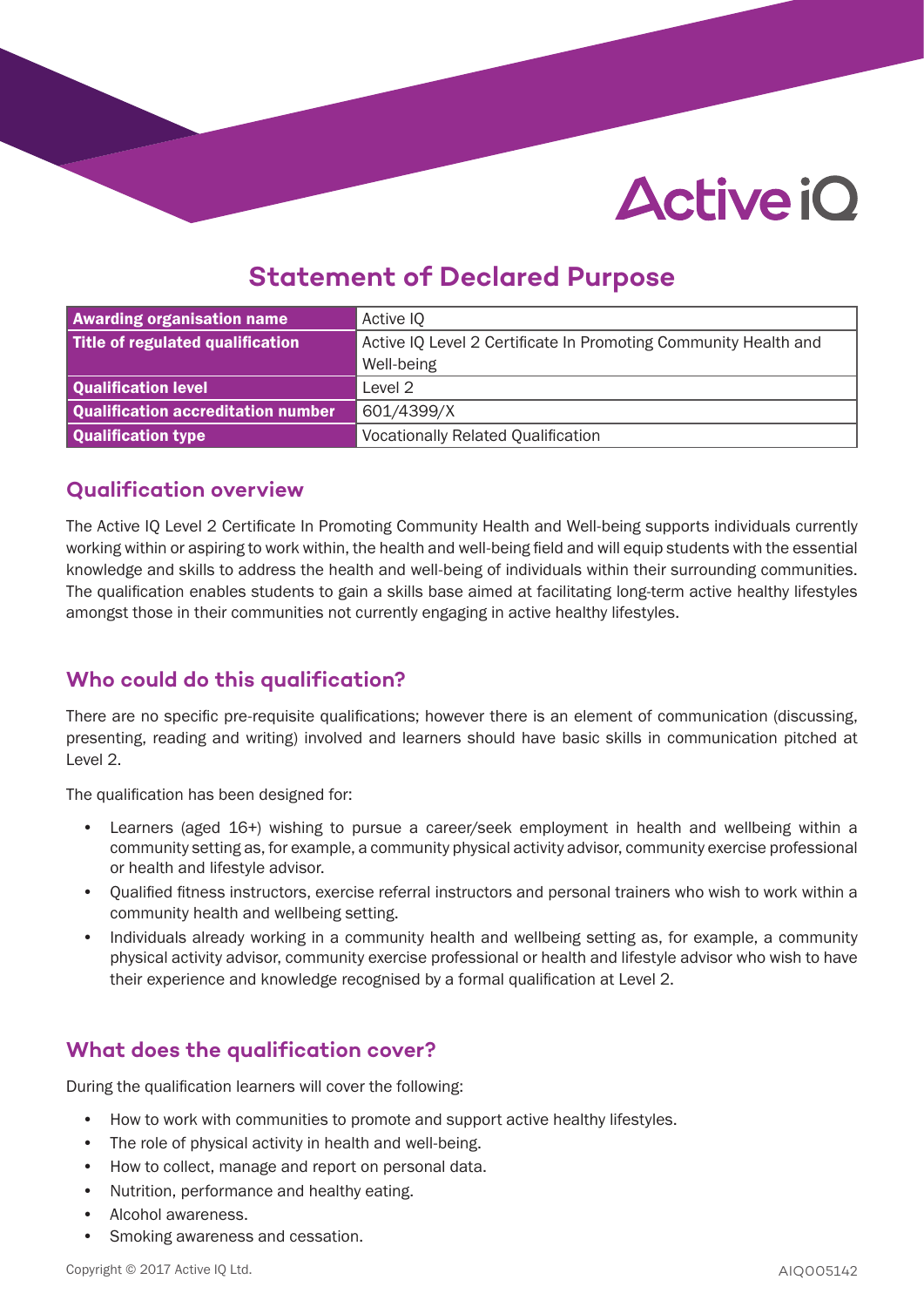# **Active iO**

# **Statement of Declared Purpose**

| <b>Awarding organisation name</b>  | Active IQ                                                       |
|------------------------------------|-----------------------------------------------------------------|
| Title of regulated qualification   | Active IQ Level 2 Certificate In Promoting Community Health and |
|                                    | Well-being                                                      |
| Qualification level                | Level 2                                                         |
| Qualification accreditation number | 601/4399/X                                                      |
| Qualification type                 | <b>Vocationally Related Qualification</b>                       |

#### **Qualification overview**

The Active IQ Level 2 Certificate In Promoting Community Health and Well-being supports individuals currently working within or aspiring to work within, the health and well-being field and will equip students with the essential knowledge and skills to address the health and well-being of individuals within their surrounding communities. The qualification enables students to gain a skills base aimed at facilitating long-term active healthy lifestyles amongst those in their communities not currently engaging in active healthy lifestyles.

# **Who could do this qualification?**

There are no specific pre-requisite qualifications; however there is an element of communication (discussing, presenting, reading and writing) involved and learners should have basic skills in communication pitched at Level 2.

The qualification has been designed for:

- Learners (aged 16+) wishing to pursue a career/seek employment in health and wellbeing within a community setting as, for example, a community physical activity advisor, community exercise professional or health and lifestyle advisor.
- Qualified fitness instructors, exercise referral instructors and personal trainers who wish to work within a community health and wellbeing setting.
- Individuals already working in a community health and wellbeing setting as, for example, a community physical activity advisor, community exercise professional or health and lifestyle advisor who wish to have their experience and knowledge recognised by a formal qualification at Level 2.

# **What does the qualification cover?**

During the qualification learners will cover the following:

- How to work with communities to promote and support active healthy lifestyles.
- The role of physical activity in health and well-being.
- How to collect, manage and report on personal data.
- Nutrition, performance and healthy eating.
- Alcohol awareness.
- Smoking awareness and cessation.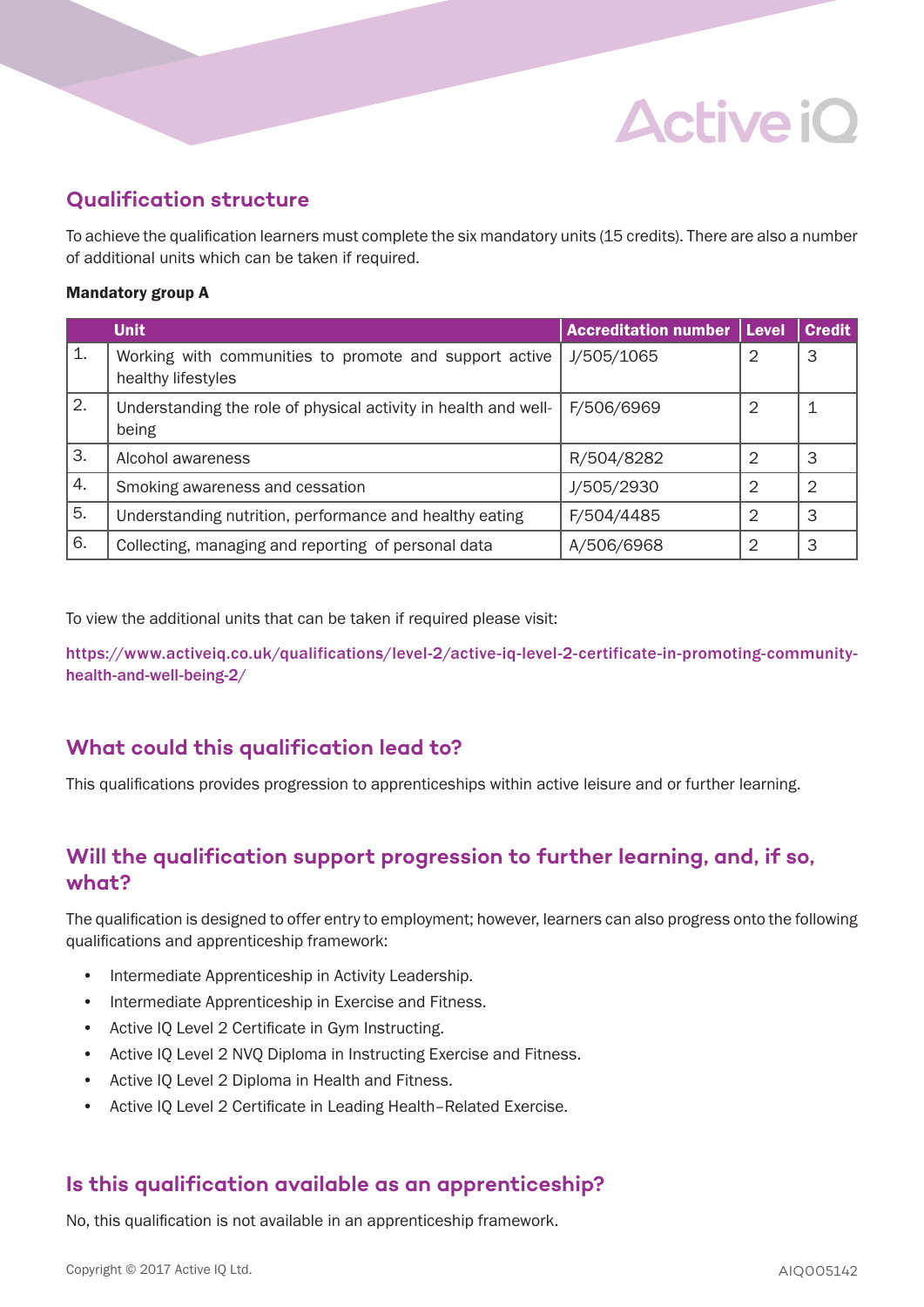# **Qualification structure**

To achieve the qualification learners must complete the six mandatory units (15 credits). There are also a number of additional units which can be taken if required.

**Active iO** 

#### Mandatory group A

|    | <b>Unit</b>                                                                  | <b>Accreditation number</b> | Level | <b>Credit</b> |
|----|------------------------------------------------------------------------------|-----------------------------|-------|---------------|
| 1. | Working with communities to promote and support active<br>healthy lifestyles | J/505/1065                  |       | 3             |
| 2. | Understanding the role of physical activity in health and well-<br>being     | F/506/6969                  | 2     |               |
| 3. | Alcohol awareness                                                            | R/504/8282                  |       | 3             |
| 4. | Smoking awareness and cessation                                              | J/505/2930                  | 2     | 2             |
| 5. | Understanding nutrition, performance and healthy eating                      | F/504/4485                  | 2     | 3             |
| 6. | Collecting, managing and reporting of personal data                          | A/506/6968                  | ⌒     | 3             |

To view the additional units that can be taken if required please visit:

https://www.activeiq.co.uk/qualifications/level-2/active-iq-level-2-certificate-in-promoting-communityhealth-and-well-being-2/

#### **What could this qualification lead to?**

This qualifications provides progression to apprenticeships within active leisure and or further learning.

# **Will the qualification support progression to further learning, and, if so, what?**

The qualification is designed to offer entry to employment; however, learners can also progress onto the following qualifications and apprenticeship framework:

- Intermediate Apprenticeship in Activity Leadership.
- Intermediate Apprenticeship in Exercise and Fitness.
- Active IQ Level 2 Certificate in Gym Instructing.
- Active IQ Level 2 NVQ Diploma in Instructing Exercise and Fitness.
- Active IQ Level 2 Diploma in Health and Fitness.
- Active IQ Level 2 Certificate in Leading Health–Related Exercise.

#### **Is this qualification available as an apprenticeship?**

No, this qualification is not available in an apprenticeship framework.